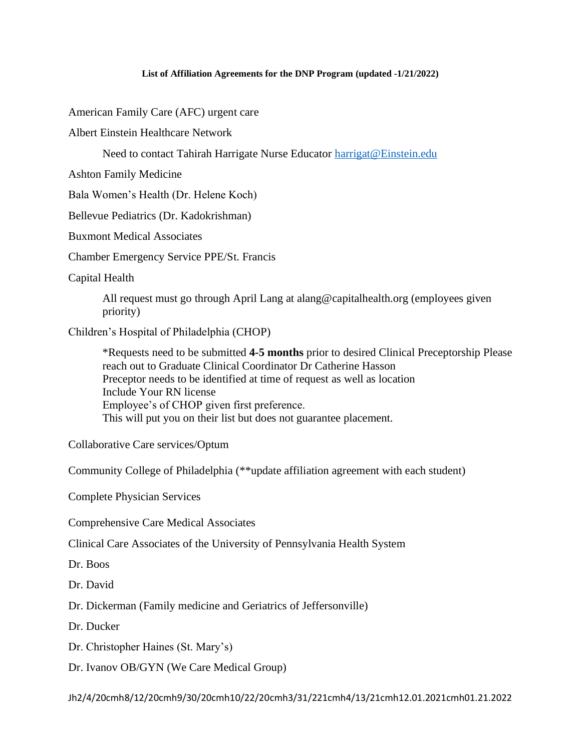#### **List of Affiliation Agreements for the DNP Program (updated -1/21/2022)**

American Family Care (AFC) urgent care

Albert Einstein Healthcare Network

Need to contact Tahirah Harrigate Nurse Educator [harrigat@Einstein.edu](mailto:harrigat@Einstein.edu)

Ashton Family Medicine

Bala Women's Health (Dr. Helene Koch)

Bellevue Pediatrics (Dr. Kadokrishman)

Buxmont Medical Associates

Chamber Emergency Service PPE/St. Francis

Capital Health

All request must go through April Lang at alang@capitalhealth.org (employees given priority)

Children's Hospital of Philadelphia (CHOP)

\*Requests need to be submitted **4-5 months** prior to desired Clinical Preceptorship Please reach out to Graduate Clinical Coordinator Dr Catherine Hasson Preceptor needs to be identified at time of request as well as location Include Your RN license Employee's of CHOP given first preference. This will put you on their list but does not guarantee placement.

Collaborative Care services/Optum

Community College of Philadelphia (\*\*update affiliation agreement with each student)

Complete Physician Services

Comprehensive Care Medical Associates

Clinical Care Associates of the University of Pennsylvania Health System

Dr. Boos

Dr. David

Dr. Dickerman (Family medicine and Geriatrics of Jeffersonville)

Dr. Ducker

Dr. Christopher Haines (St. Mary's)

Dr. Ivanov OB/GYN (We Care Medical Group)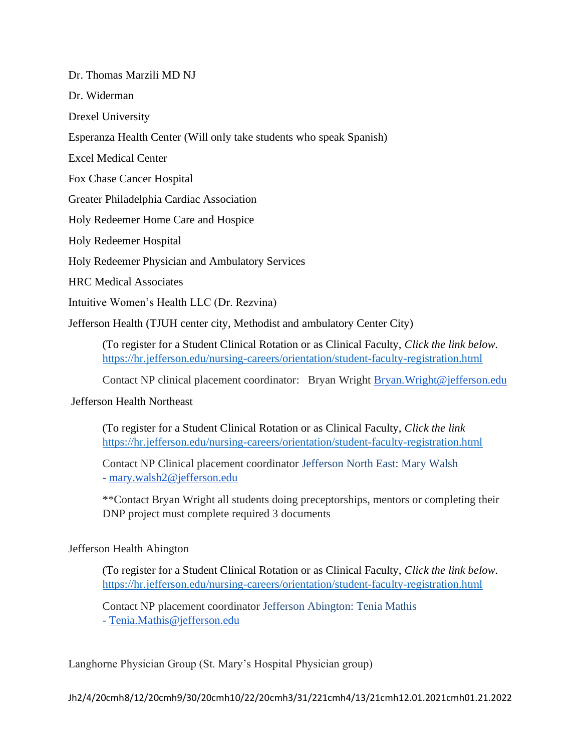Dr. Thomas Marzili MD NJ Dr. Widerman Drexel University Esperanza Health Center (Will only take students who speak Spanish) Excel Medical Center Fox Chase Cancer Hospital Greater Philadelphia Cardiac Association Holy Redeemer Home Care and Hospice Holy Redeemer Hospital Holy Redeemer Physician and Ambulatory Services HRC Medical Associates Intuitive Women's Health LLC (Dr. Rezvina) Jefferson Health (TJUH center city, Methodist and ambulatory Center City)

> (To register for a Student Clinical Rotation or as Clinical Faculty, *Click the link below.* <https://hr.jefferson.edu/nursing-careers/orientation/student-faculty-registration.html>

Contact NP clinical placement coordinator: Bryan Wright Bryan. Wright@jefferson.edu

Jefferson Health Northeast

(To register for a Student Clinical Rotation or as Clinical Faculty, *Click the link*  <https://hr.jefferson.edu/nursing-careers/orientation/student-faculty-registration.html>

Contact NP Clinical placement coordinator Jefferson North East: Mary Walsh - [mary.walsh2@jefferson.edu](mailto:mary.walsh2@jefferson.edu)

\*\*Contact Bryan Wright all students doing preceptorships, mentors or completing their DNP project must complete required 3 documents

# Jefferson Health Abington

(To register for a Student Clinical Rotation or as Clinical Faculty, *Click the link below.* <https://hr.jefferson.edu/nursing-careers/orientation/student-faculty-registration.html>

Contact NP placement coordinator Jefferson Abington: Tenia Mathis - [Tenia.Mathis@jefferson.edu](mailto:Tenia.Mathis@jefferson.edu)

Langhorne Physician Group (St. Mary's Hospital Physician group)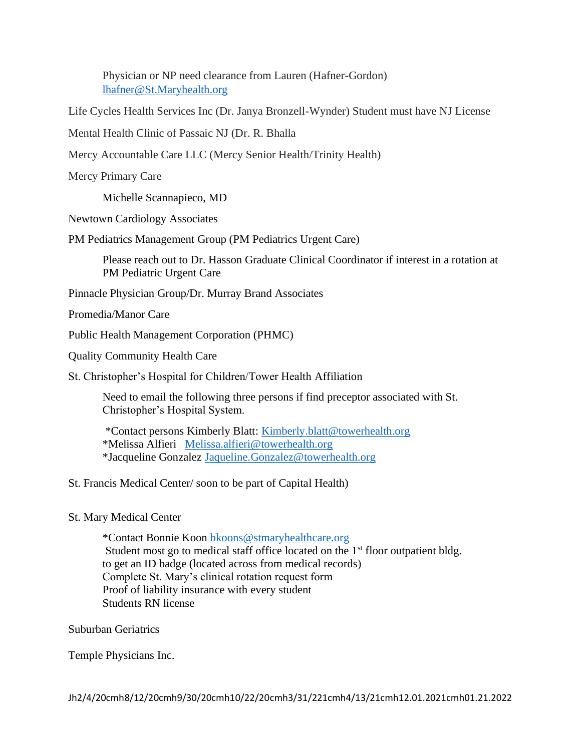Physician or NP need clearance from Lauren (Hafner-Gordon) [lhafner@St.Maryhealth.org](mailto:lhafner@St.Maryhealth.org)

Life Cycles Health Services Inc (Dr. Janya Bronzell-Wynder) Student must have NJ License

Mental Health Clinic of Passaic NJ (Dr. R. Bhalla

Mercy Accountable Care LLC (Mercy Senior Health/Trinity Health)

Mercy Primary Care

Michelle Scannapieco, MD

Newtown Cardiology Associates

PM Pediatrics Management Group (PM Pediatrics Urgent Care)

Please reach out to Dr. Hasson Graduate Clinical Coordinator if interest in a rotation at PM Pediatric Urgent Care

Pinnacle Physician Group/Dr. Murray Brand Associates

Promedia/Manor Care

Public Health Management Corporation (PHMC)

Quality Community Health Care

St. Christopher's Hospital for Children/Tower Health Affiliation

Need to email the following three persons if find preceptor associated with St. Christopher's Hospital System.

\*Contact persons Kimberly Blatt: [Kimberly.blatt@towerhealth.org](mailto:Kimberly.blatt@towerhealth.org)  \*Melissa Alfieri [Melissa.alfieri@towerhealth.org](mailto:Melissa.alfieri@towerhealth.org) \*Jacqueline Gonzalez [Jaqueline.Gonzalez@towerhealth.org](mailto:Jaqueline.Gonzalez@towerhealth.org)

St. Francis Medical Center/ soon to be part of Capital Health)

# St. Mary Medical Center

\*Contact Bonnie Koon [bkoons@stmaryhealthcare.org](mailto:bkoons@stmaryhealthcare.org) Student most go to medical staff office located on the 1<sup>st</sup> floor outpatient bldg. to get an ID badge (located across from medical records) Complete St. Mary's clinical rotation request form Proof of liability insurance with every student Students RN license

# Suburban Geriatrics

Temple Physicians Inc.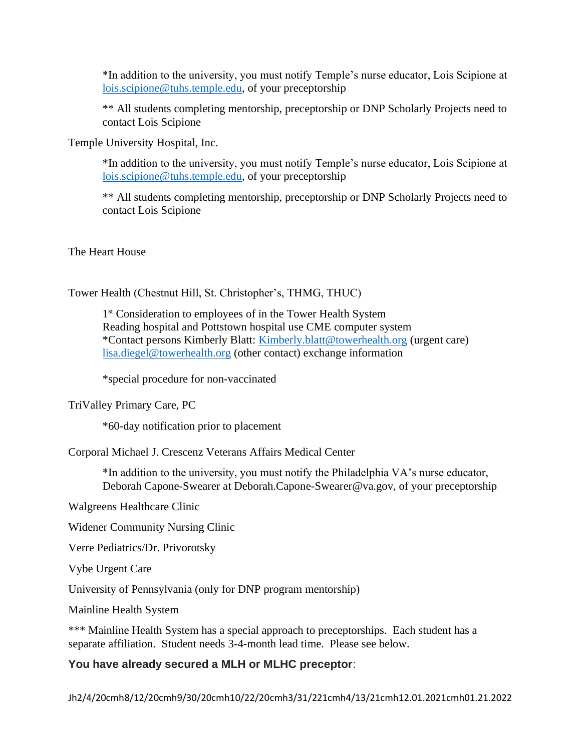\*In addition to the university, you must notify Temple's nurse educator, Lois Scipione at [lois.scipione@tuhs.temple.edu,](mailto:lois.scipione@tuhs.temple.edu) of your preceptorship

\*\* All students completing mentorship, preceptorship or DNP Scholarly Projects need to contact Lois Scipione

Temple University Hospital, Inc.

\*In addition to the university, you must notify Temple's nurse educator, Lois Scipione at [lois.scipione@tuhs.temple.edu,](mailto:lois.scipione@tuhs.temple.edu) of your preceptorship

\*\* All students completing mentorship, preceptorship or DNP Scholarly Projects need to contact Lois Scipione

The Heart House

#### Tower Health (Chestnut Hill, St. Christopher's, THMG, THUC)

1<sup>st</sup> Consideration to employees of in the Tower Health System Reading hospital and Pottstown hospital use CME computer system \*Contact persons Kimberly Blatt: [Kimberly.blatt@towerhealth.org](mailto:Kimberly.blatt@towerhealth.org) (urgent care) [lisa.diegel@towerhealth.org](mailto:lisa.diegel@towerhealth.org) (other contact) exchange information

\*special procedure for non-vaccinated

TriValley Primary Care, PC

\*60-day notification prior to placement

Corporal Michael J. Crescenz Veterans Affairs Medical Center

\*In addition to the university, you must notify the Philadelphia VA's nurse educator, Deborah Capone-Swearer at Deborah.Capone-Swearer@va.gov, of your preceptorship

Walgreens Healthcare Clinic

Widener Community Nursing Clinic

Verre Pediatrics/Dr. Privorotsky

Vybe Urgent Care

University of Pennsylvania (only for DNP program mentorship)

Mainline Health System

\*\*\* Mainline Health System has a special approach to preceptorships. Each student has a separate affiliation. Student needs 3-4-month lead time. Please see below.

# **You have already secured a MLH or MLHC preceptor**: